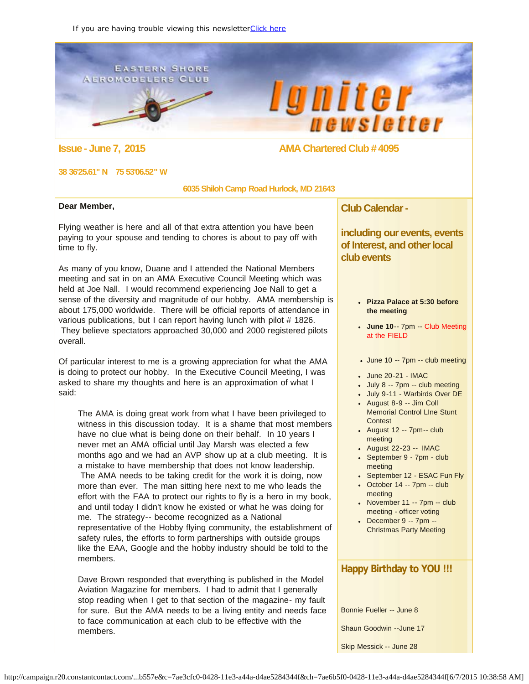#### <span id="page-0-0"></span>**EASTERN SHORE AEROMODELERS CLUB**





### **Issue - June 7, 2015 AMA Chartered Club # 4095**

#### **38 36'25.61" N 75 53'06.52" W**

 **6035 Shiloh Camp Road Hurlock, MD 21643**

#### **Dear Member,**

Flying weather is here and all of that extra attention you have been paying to your spouse and tending to chores is about to pay off with time to fly.

As many of you know, Duane and I attended the National Members meeting and sat in on an AMA Executive Council Meeting which was held at Joe Nall. I would recommend experiencing Joe Nall to get a sense of the diversity and magnitude of our hobby. AMA membership is about 175,000 worldwide. There will be official reports of attendance in various publications, but I can report having lunch with pilot # 1826. They believe spectators approached 30,000 and 2000 registered pilots overall.

Of particular interest to me is a growing appreciation for what the AMA is doing to protect our hobby. In the Executive Council Meeting, I was asked to share my thoughts and here is an approximation of what I said:

The AMA is doing great work from what I have been privileged to witness in this discussion today. It is a shame that most members have no clue what is being done on their behalf. In 10 years I never met an AMA official until Jay Marsh was elected a few months ago and we had an AVP show up at a club meeting. It is a mistake to have membership that does not know leadership. The AMA needs to be taking credit for the work it is doing, now more than ever. The man sitting here next to me who leads the effort with the FAA to protect our rights to fly is a hero in my book, and until today I didn't know he existed or what he was doing for me. The strategy-- become recognized as a National representative of the Hobby flying community, the establishment of safety rules, the efforts to form partnerships with outside groups like the EAA, Google and the hobby industry should be told to the members.

Dave Brown responded that everything is published in the Model Aviation Magazine for members. I had to admit that I generally stop reading when I get to that section of the magazine- my fault for sure. But the AMA needs to be a living entity and needs face to face communication at each club to be effective with the members.

**Club Calendar -**

**including our events, events of Interest, and other local club events**

- **Pizza Palace at 5:30 before the meeting**
- **June 10**-- 7pm -- Club Meeting at the FIELD
- June 10 -- 7pm -- club meeting
- June 20-21 IMAC
- July 8 -- 7pm -- club meeting
- July 9-11 Warbirds Over DE
- August 8-9 -- Jim Coll Memorial Control LIne Stunt Contest
- $\bullet$  August 12 -- 7pm-- club meeting
- August 22-23 -- IMAC
- September 9 7pm club meeting
- September 12 ESAC Fun Fly
- $\bullet$  October 14 -- 7pm -- club meeting
- $\bullet$  November 11 -- 7pm -- club meeting - officer voting
- December 9 -- 7pm -- Christmas Party Meeting

# **Happy Birthday to YOU !!!**

Bonnie Fueller -- June 8

Shaun Goodwin --June 17

Skip Messick -- June 28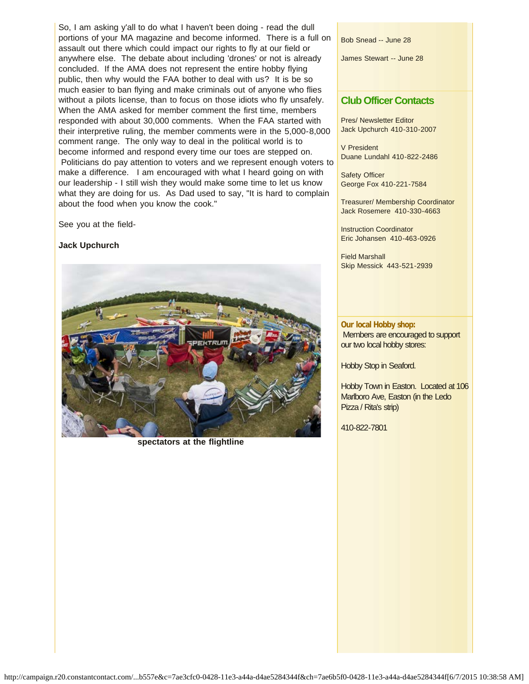So, I am asking y'all to do what I haven't been doing - read the dull portions of your MA magazine and become informed. There is a full on assault out there which could impact our rights to fly at our field or anywhere else. The debate about including 'drones' or not is already concluded. If the AMA does not represent the entire hobby flying public, then why would the FAA bother to deal with us? It is be so much easier to ban flying and make criminals out of anyone who flies without a pilots license, than to focus on those idiots who fly unsafely. When the AMA asked for member comment the first time, members responded with about 30,000 comments. When the FAA started with their interpretive ruling, the member comments were in the 5,000-8,000 comment range. The only way to deal in the political world is to become informed and respond every time our toes are stepped on. Politicians do pay attention to voters and we represent enough voters to make a difference. I am encouraged with what I heard going on with our leadership - I still wish they would make some time to let us know what they are doing for us. As Dad used to say, "It is hard to complain about the food when you know the cook."

See you at the field-

#### **Jack Upchurch**



**spectators at the flightline**

Bob Snead -- June 28

James Stewart -- June 28

### **Club Officer Contacts**

Pres/ Newsletter Editor Jack Upchurch 410-310-2007

V President Duane Lundahl 410-822-2486

Safety Officer George Fox 410-221-7584

Treasurer/ Membership Coordinator Jack Rosemere 410-330-4663

Instruction Coordinator Eric Johansen 410-463-0926

Field Marshall Skip Messick 443-521-2939

**Our local Hobby shop:** Members are encouraged to support our two local hobby stores:

Hobby Stop in Seaford.

Hobby Town in Easton. Located at 106 Marlboro Ave, Easton (in the Ledo Pizza / Rita's strip)

410-822-7801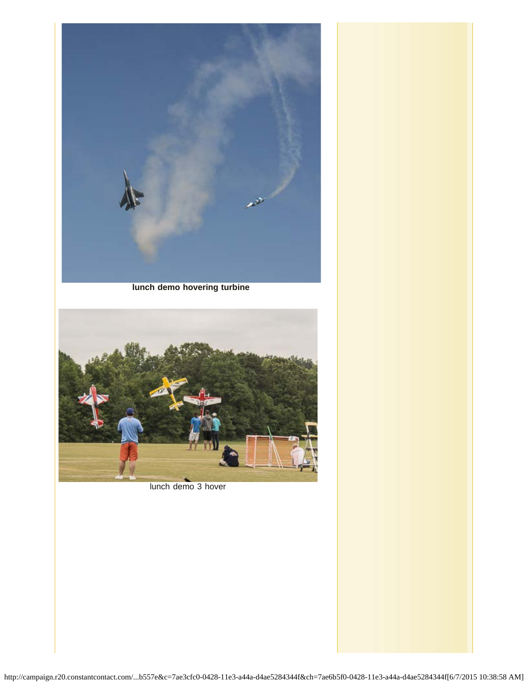

**lunch demo hovering turbine**



lunch demo 3 hover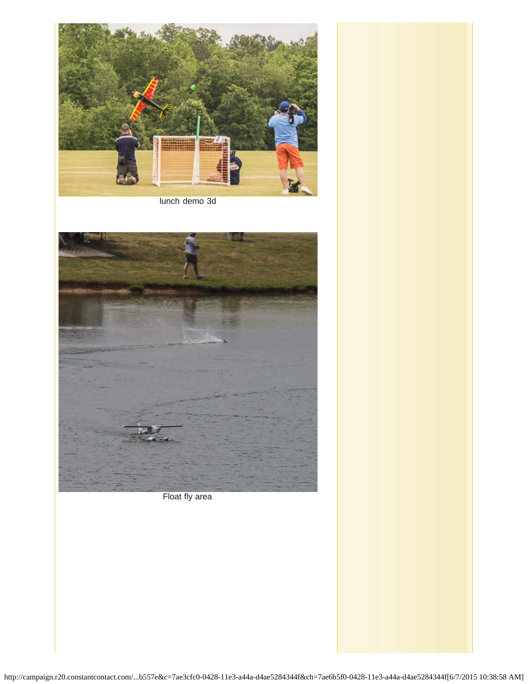

lunch demo 3d



Float fly area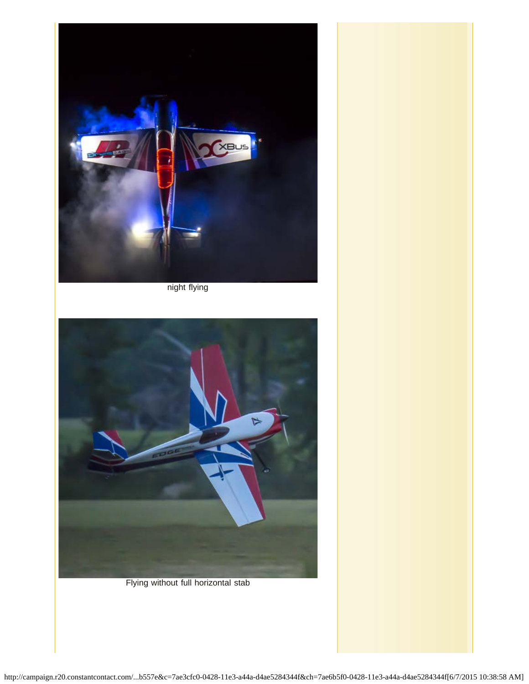

night flying



Flying without full horizontal stab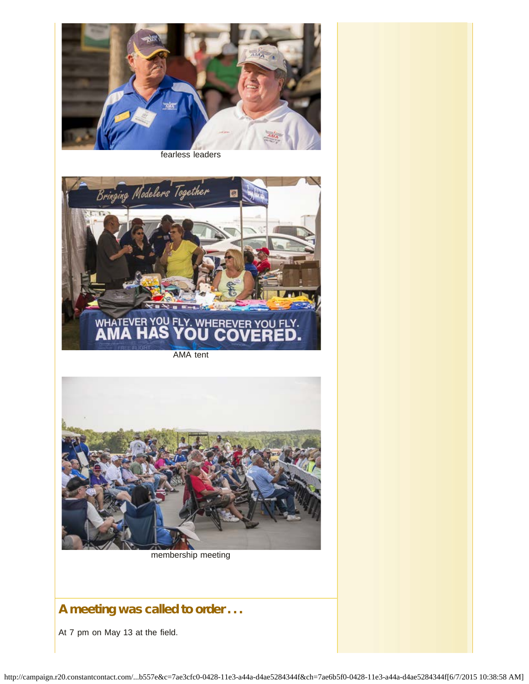

fearless leaders



AMA tent



membership meeting

# A meeting was called to order . . .

At 7 pm on May 13 at the field.